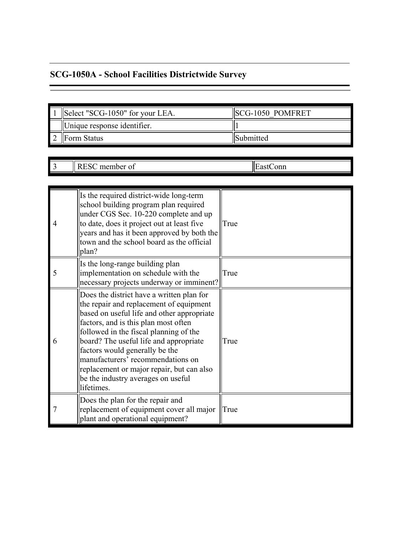## **SCG-1050A - School Facilities Districtwide Survey**

| Select "SCG-1050" for your LEA. | <b>SCG-1050 POMFRET</b> |
|---------------------------------|-------------------------|
| Unique response identifier.     |                         |
| Form Status                     | <b>ISubmitted</b>       |

3 RESC member of EastConn

| $\overline{4}$ | Is the required district-wide long-term<br>school building program plan required<br>under CGS Sec. 10-220 complete and up<br>to date, does it project out at least five<br>years and has it been approved by both the<br>town and the school board as the official<br>plan?                                                                                                                                                            | True |
|----------------|----------------------------------------------------------------------------------------------------------------------------------------------------------------------------------------------------------------------------------------------------------------------------------------------------------------------------------------------------------------------------------------------------------------------------------------|------|
| 5              | Is the long-range building plan<br>implementation on schedule with the<br>necessary projects underway or imminent?                                                                                                                                                                                                                                                                                                                     | True |
| 6              | Does the district have a written plan for<br>the repair and replacement of equipment<br>based on useful life and other appropriate<br>factors, and is this plan most often<br>followed in the fiscal planning of the<br>board? The useful life and appropriate<br>factors would generally be the<br>manufacturers' recommendations on<br>replacement or major repair, but can also<br>be the industry averages on useful<br>lifetimes. | True |
| $\overline{7}$ | Does the plan for the repair and<br>replacement of equipment cover all major<br>plant and operational equipment?                                                                                                                                                                                                                                                                                                                       | True |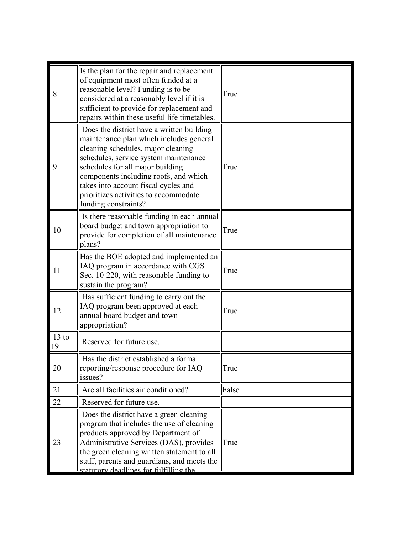| 8             | Is the plan for the repair and replacement<br>of equipment most often funded at a<br>reasonable level? Funding is to be<br>considered at a reasonably level if it is<br>sufficient to provide for replacement and<br>repairs within these useful life timetables.                                                                                         | True  |
|---------------|-----------------------------------------------------------------------------------------------------------------------------------------------------------------------------------------------------------------------------------------------------------------------------------------------------------------------------------------------------------|-------|
| 9             | Does the district have a written building<br>maintenance plan which includes general<br>cleaning schedules, major cleaning<br>schedules, service system maintenance<br>schedules for all major building<br>components including roofs, and which<br>takes into account fiscal cycles and<br>prioritizes activities to accommodate<br>funding constraints? | True  |
| 10            | Is there reasonable funding in each annual<br>board budget and town appropriation to<br>provide for completion of all maintenance<br>plans?                                                                                                                                                                                                               | True  |
| 11            | Has the BOE adopted and implemented an<br>IAQ program in accordance with CGS<br>Sec. 10-220, with reasonable funding to<br>sustain the program?                                                                                                                                                                                                           | True  |
| 12            | Has sufficient funding to carry out the<br>IAQ program been approved at each<br>annual board budget and town<br>appropriation?                                                                                                                                                                                                                            | True  |
| $13$ to<br>19 | Reserved for future use.                                                                                                                                                                                                                                                                                                                                  |       |
| 20            | Has the district established a formal<br>reporting/response procedure for IAQ<br>issues?                                                                                                                                                                                                                                                                  | True  |
| 21            | Are all facilities air conditioned?                                                                                                                                                                                                                                                                                                                       | False |
| 22            | Reserved for future use.                                                                                                                                                                                                                                                                                                                                  |       |
| 23            | Does the district have a green cleaning<br>program that includes the use of cleaning<br>products approved by Department of<br>Administrative Services (DAS), provides<br>the green cleaning written statement to all<br>staff, parents and guardians, and meets the<br>statutory deadlines for fulfilling the                                             | True  |